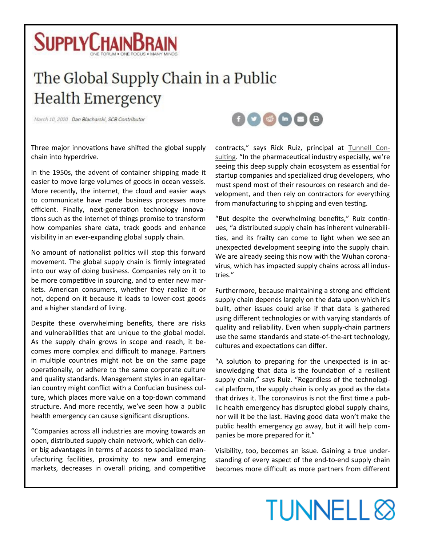

## The Global Supply Chain in a Public **Health Emergency**

March 10, 2020 Dan Blacharski, SCB Contributor



Three major innovations have shifted the global supply chain into hyperdrive.

In the 1950s, the advent of container shipping made it easier to move large volumes of goods in ocean vessels. More recently, the internet, the cloud and easier ways to communicate have made business processes more efficient. Finally, next-generation technology innovations such as the internet of things promise to transform how companies share data, track goods and enhance visibility in an ever-expanding global supply chain.

No amount of nationalist politics will stop this forward movement. The global supply chain is firmly integrated into our way of doing business. Companies rely on it to be more competitive in sourcing, and to enter new markets. American consumers, whether they realize it or not, depend on it because it leads to lower-cost goods and a higher standard of living.

Despite these overwhelming benefits, there are risks and vulnerabilities that are unique to the global model. As the supply chain grows in scope and reach, it becomes more complex and difficult to manage. Partners in multiple countries might not be on the same page operationally, or adhere to the same corporate culture and quality standards. Management styles in an egalitarian country might conflict with a Confucian business culture, which places more value on a top-down command structure. And more recently, we've seen how a public health emergency can cause significant disruptions.

"Companies across all industries are moving towards an open, distributed supply chain network, which can deliver big advantages in terms of access to specialized manufacturing facilities, proximity to new and emerging markets, decreases in overall pricing, and competitive

contracts," says Rick Ruiz, principal at [Tunnell Con](http://www.tunnellconsulting.com/)[sulting](http://www.tunnellconsulting.com/). "In the pharmaceutical industry especially, we're seeing this deep supply chain ecosystem as essential for startup companies and specialized drug developers, who must spend most of their resources on research and development, and then rely on contractors for everything from manufacturing to shipping and even testing.

"But despite the overwhelming benefits," Ruiz continues, "a distributed supply chain has inherent vulnerabilities, and its frailty can come to light when we see an unexpected development seeping into the supply chain. We are already seeing this now with the Wuhan coronavirus, which has impacted supply chains across all industries."

Furthermore, because maintaining a strong and efficient supply chain depends largely on the data upon which it's built, other issues could arise if that data is gathered using different technologies or with varying standards of quality and reliability. Even when supply-chain partners use the same standards and state-of-the-art technology, cultures and expectations can differ.

"A solution to preparing for the unexpected is in acknowledging that data is the foundation of a resilient supply chain," says Ruiz. "Regardless of the technological platform, the supply chain is only as good as the data that drives it. The coronavirus is not the first time a public health emergency has disrupted global supply chains, nor will it be the last. Having good data won't make the public health emergency go away, but it will help companies be more prepared for it."

Visibility, too, becomes an issue. Gaining a true understanding of every aspect of the end-to-end supply chain becomes more difficult as more partners from different

## **TUNNELL**<sup>8</sup>